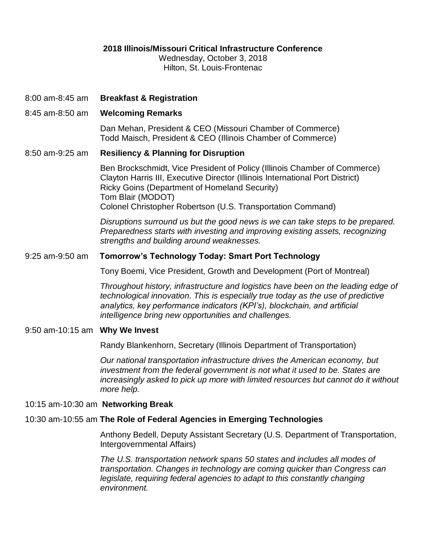# **2018 Illinois/Missouri Critical Infrastructure Conference**

Wednesday, October 3, 2018 Hilton, St. Louis-Frontenac

- 8:00 am-8:45 am **Breakfast & Registration**
- 8:45 am-8:50 am **Welcoming Remarks**

Dan Mehan, President & CEO (Missouri Chamber of Commerce) Todd Maisch, President & CEO (Illinois Chamber of Commerce)

# 8:50 am-9:25 am **Resiliency & Planning for Disruption**

Ben Brockschmidt, Vice President of Policy (Illinois Chamber of Commerce) Clayton Harris III, Executive Director (Illinois International Port District) Ricky Goins (Department of Homeland Security) Tom Blair (MODOT) Colonel Christopher Robertson (U.S. Transportation Command)

*Disruptions surround us but the good news is we can take steps to be prepared. Preparedness starts with investing and improving existing assets, recognizing strengths and building around weaknesses.* 

# 9:25 am-9:50 am **Tomorrow's Technology Today: Smart Port Technology**

Tony Boemi, Vice President, Growth and Development (Port of Montreal)

*Throughout history, infrastructure and logistics have been on the leading edge of technological innovation. This is especially true today as the use of predictive analytics, key performance indicators (KPI's), blockchain, and artificial intelligence bring new opportunities and challenges.* 

#### 9:50 am-10:15 am **Why We Invest**

Randy Blankenhorn, Secretary (Illinois Department of Transportation)

*Our national transportation infrastructure drives the American economy, but investment from the federal government is not what it used to be. States are increasingly asked to pick up more with limited resources but cannot do it without more help.* 

#### 10:15 am-10:30 am **Networking Break**

# 10:30 am-10:55 am **The Role of Federal Agencies in Emerging Technologies**

Anthony Bedell, Deputy Assistant Secretary (U.S. Department of Transportation, Intergovernmental Affairs)

*The U.S. transportation network spans 50 states and includes all modes of transportation. Changes in technology are coming quicker than Congress can legislate, requiring federal agencies to adapt to this constantly changing environment.*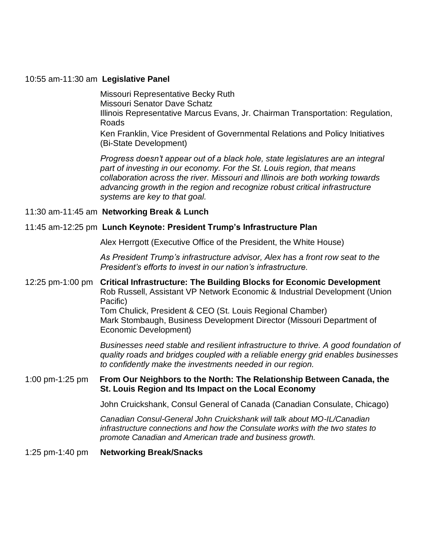#### 10:55 am-11:30 am **Legislative Panel**

Missouri Representative Becky Ruth Missouri Senator Dave Schatz Illinois Representative Marcus Evans, Jr. Chairman Transportation: Regulation, Roads

Ken Franklin, Vice President of Governmental Relations and Policy Initiatives (Bi-State Development)

*Progress doesn't appear out of a black hole, state legislatures are an integral part of investing in our economy. For the St. Louis region, that means collaboration across the river. Missouri and Illinois are both working towards advancing growth in the region and recognize robust critical infrastructure systems are key to that goal.* 

11:30 am-11:45 am **Networking Break & Lunch**

#### 11:45 am-12:25 pm **Lunch Keynote: President Trump's Infrastructure Plan**

Alex Herrgott (Executive Office of the President, the White House)

*As President Trump's infrastructure advisor, Alex has a front row seat to the President's efforts to invest in our nation's infrastructure.*

# 12:25 pm-1:00 pm **Critical Infrastructure: The Building Blocks for Economic Development** Rob Russell, Assistant VP Network Economic & Industrial Development (Union Pacific) Tom Chulick, President & CEO (St. Louis Regional Chamber)

Mark Stombaugh, Business Development Director (Missouri Department of Economic Development)

*Businesses need stable and resilient infrastructure to thrive. A good foundation of quality roads and bridges coupled with a reliable energy grid enables businesses to confidently make the investments needed in our region.*

# 1:00 pm-1:25 pm **From Our Neighbors to the North: The Relationship Between Canada, the St. Louis Region and Its Impact on the Local Economy**

John Cruickshank, Consul General of Canada (Canadian Consulate, Chicago)

*Canadian Consul-General John Cruickshank will talk about MO-IL/Canadian infrastructure connections and how the Consulate works with the two states to promote Canadian and American trade and business growth.* 

1:25 pm-1:40 pm **Networking Break/Snacks**